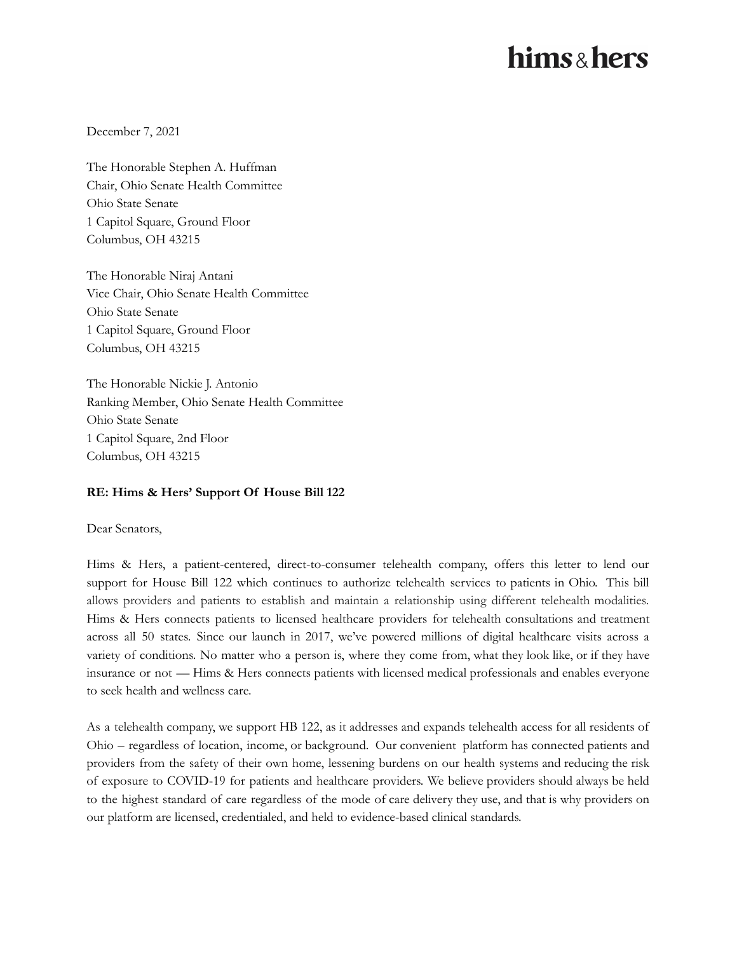## hims & hers

December 7, 2021

The Honorable Stephen A. Huffman Chair, Ohio Senate Health Committee Ohio State Senate 1 Capitol Square, Ground Floor Columbus, OH 43215

The Honorable Niraj Antani Vice Chair, Ohio Senate Health Committee Ohio State Senate 1 Capitol Square, Ground Floor Columbus, OH 43215

The Honorable Nickie J. Antonio Ranking Member, Ohio Senate Health Committee Ohio State Senate 1 Capitol Square, 2nd Floor Columbus, OH 43215

## **RE: Hims & Hers' Support Of House Bill 122**

Dear Senators,

Hims & Hers, a patient-centered, direct-to-consumer telehealth company, offers this letter to lend our support for House Bill 122 which continues to authorize telehealth services to patients in Ohio. This bill allows providers and patients to establish and maintain a relationship using different telehealth modalities. Hims & Hers connects patients to licensed healthcare providers for telehealth consultations and treatment across all 50 states. Since our launch in 2017, we've powered millions of digital healthcare visits across a variety of conditions. No matter who a person is, where they come from, what they look like, or if they have insurance or not — Hims & Hers connects patients with licensed medical professionals and enables everyone to seek health and wellness care.

As a telehealth company, we support HB 122, as it addresses and expands telehealth access for all residents of Ohio – regardless of location, income, or background. Our convenient platform has connected patients and providers from the safety of their own home, lessening burdens on our health systems and reducing the risk of exposure to COVID-19 for patients and healthcare providers. We believe providers should always be held to the highest standard of care regardless of the mode of care delivery they use, and that is why providers on our platform are licensed, credentialed, and held to evidence-based clinical standards.